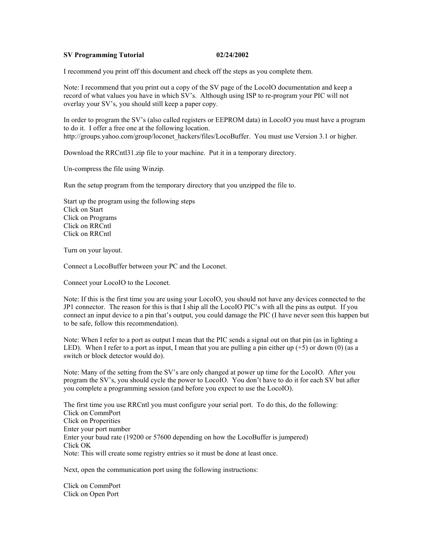## **SV Programming Tutorial 02/24/2002**

I recommend you print off this document and check off the steps as you complete them.

Note: I recommend that you print out a copy of the SV page of the LocoIO documentation and keep a record of what values you have in which SV's. Although using ISP to re-program your PIC will not overlay your SV's, you should still keep a paper copy.

In order to program the SV's (also called registers or EEPROM data) in LocoIO you must have a program to do it. I offer a free one at the following location. http://groups.yahoo.com/group/loconet\_hackers/files/LocoBuffer. You must use Version 3.1 or higher.

Download the RRCntl31.zip file to your machine. Put it in a temporary directory.

Un-compress the file using Winzip.

Run the setup program from the temporary directory that you unzipped the file to.

Start up the program using the following steps Click on Start Click on Programs Click on RRCntl Click on RRCntl

Turn on your layout.

Connect a LocoBuffer between your PC and the Loconet.

Connect your LocoIO to the Loconet.

Note: If this is the first time you are using your LocoIO, you should not have any devices connected to the JP1 connector. The reason for this is that I ship all the LocoIO PIC's with all the pins as output. If you connect an input device to a pin that's output, you could damage the PIC (I have never seen this happen but to be safe, follow this recommendation).

Note: When I refer to a port as output I mean that the PIC sends a signal out on that pin (as in lighting a LED). When I refer to a port as input, I mean that you are pulling a pin either up  $(+5)$  or down (0) (as a switch or block detector would do).

Note: Many of the setting from the SV's are only changed at power up time for the LocoIO. After you program the SV's, you should cycle the power to LocoIO. You don't have to do it for each SV but after you complete a programming session (and before you expect to use the LocoIO).

The first time you use RRCntl you must configure your serial port. To do this, do the following: Click on CommPort Click on Properities Enter your port number Enter your baud rate (19200 or 57600 depending on how the LocoBuffer is jumpered) Click OK Note: This will create some registry entries so it must be done at least once.

Next, open the communication port using the following instructions:

Click on CommPort Click on Open Port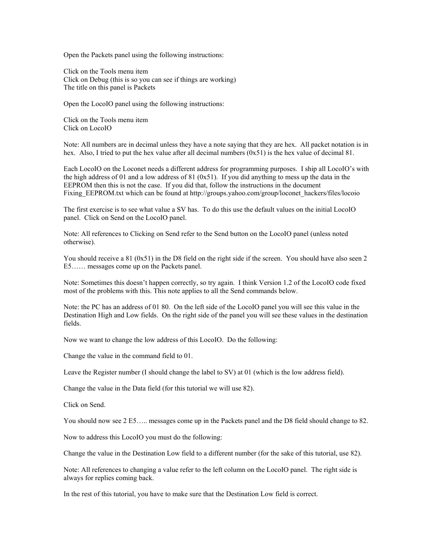Open the Packets panel using the following instructions:

Click on the Tools menu item Click on Debug (this is so you can see if things are working) The title on this panel is Packets

Open the LocoIO panel using the following instructions:

Click on the Tools menu item Click on LocoIO

Note: All numbers are in decimal unless they have a note saying that they are hex. All packet notation is in hex. Also, I tried to put the hex value after all decimal numbers ( $0x51$ ) is the hex value of decimal 81.

Each LocoIO on the Loconet needs a different address for programming purposes. I ship all LocoIO's with the high address of 01 and a low address of 81 ( $0x51$ ). If you did anything to mess up the data in the EEPROM then this is not the case. If you did that, follow the instructions in the document Fixing\_EEPROM.txt which can be found at http://groups.yahoo.com/group/loconet\_hackers/files/locoio

The first exercise is to see what value a SV has. To do this use the default values on the initial LocoIO panel. Click on Send on the LocoIO panel.

Note: All references to Clicking on Send refer to the Send button on the LocoIO panel (unless noted otherwise).

You should receive a 81 (0x51) in the D8 field on the right side if the screen. You should have also seen 2 E5…… messages come up on the Packets panel.

Note: Sometimes this doesn't happen correctly, so try again. I think Version 1.2 of the LocoIO code fixed most of the problems with this. This note applies to all the Send commands below.

Note: the PC has an address of 01 80. On the left side of the LocoIO panel you will see this value in the Destination High and Low fields. On the right side of the panel you will see these values in the destination fields.

Now we want to change the low address of this LocoIO. Do the following:

Change the value in the command field to 01.

Leave the Register number (I should change the label to SV) at 01 (which is the low address field).

Change the value in the Data field (for this tutorial we will use 82).

Click on Send.

You should now see 2 E5….. messages come up in the Packets panel and the D8 field should change to 82.

Now to address this LocoIO you must do the following:

Change the value in the Destination Low field to a different number (for the sake of this tutorial, use 82).

Note: All references to changing a value refer to the left column on the LocoIO panel. The right side is always for replies coming back.

In the rest of this tutorial, you have to make sure that the Destination Low field is correct.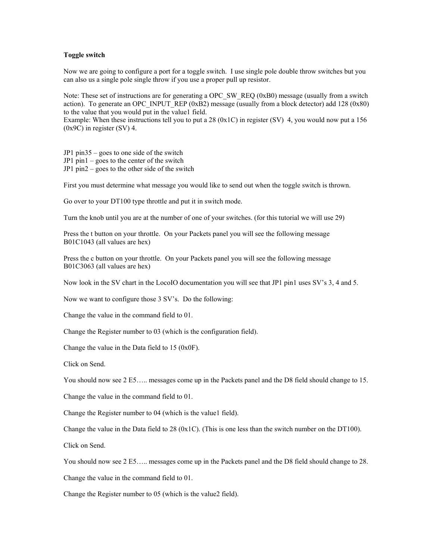# **Toggle switch**

Now we are going to configure a port for a toggle switch. I use single pole double throw switches but you can also us a single pole single throw if you use a proper pull up resistor.

Note: These set of instructions are for generating a OPC\_SW\_REQ (0xB0) message (usually from a switch action). To generate an OPC\_INPUT\_REP (0xB2) message (usually from a block detector) add 128 (0x80) to the value that you would put in the value1 field.

Example: When these instructions tell you to put a 28 ( $0x1C$ ) in register (SV) 4, you would now put a 156 (0x9C) in register (SV) 4.

JP1 pin35 – goes to one side of the switch JP1 pin1 – goes to the center of the switch JP1 pin2 – goes to the other side of the switch

First you must determine what message you would like to send out when the toggle switch is thrown.

Go over to your DT100 type throttle and put it in switch mode.

Turn the knob until you are at the number of one of your switches. (for this tutorial we will use 29)

Press the t button on your throttle. On your Packets panel you will see the following message B01C1043 (all values are hex)

Press the c button on your throttle. On your Packets panel you will see the following message B01C3063 (all values are hex)

Now look in the SV chart in the LocoIO documentation you will see that JP1 pin1 uses SV's 3, 4 and 5.

Now we want to configure those 3 SV's. Do the following:

Change the value in the command field to 01.

Change the Register number to 03 (which is the configuration field).

Change the value in the Data field to 15 (0x0F).

Click on Send.

You should now see 2 E5….. messages come up in the Packets panel and the D8 field should change to 15.

Change the value in the command field to 01.

Change the Register number to 04 (which is the value1 field).

Change the value in the Data field to 28 ( $0x1C$ ). (This is one less than the switch number on the DT100).

Click on Send.

You should now see 2 E5….. messages come up in the Packets panel and the D8 field should change to 28.

Change the value in the command field to 01.

Change the Register number to 05 (which is the value2 field).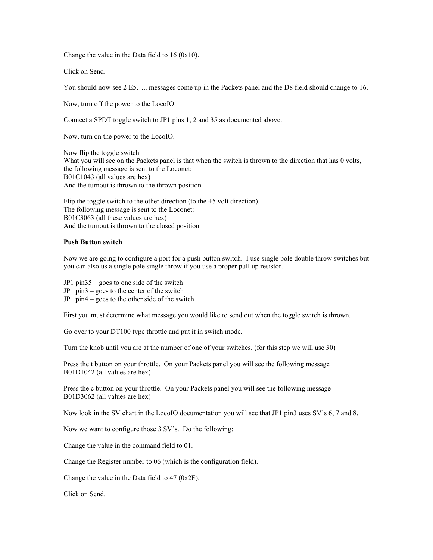Change the value in the Data field to  $16 (0x10)$ .

Click on Send.

You should now see 2 E5….. messages come up in the Packets panel and the D8 field should change to 16.

Now, turn off the power to the LocoIO.

Connect a SPDT toggle switch to JP1 pins 1, 2 and 35 as documented above.

Now, turn on the power to the LocoIO.

Now flip the toggle switch What you will see on the Packets panel is that when the switch is thrown to the direction that has 0 volts, the following message is sent to the Loconet: B01C1043 (all values are hex) And the turnout is thrown to the thrown position

Flip the toggle switch to the other direction (to the  $+5$  volt direction). The following message is sent to the Loconet: B01C3063 (all these values are hex) And the turnout is thrown to the closed position

### **Push Button switch**

Now we are going to configure a port for a push button switch. I use single pole double throw switches but you can also us a single pole single throw if you use a proper pull up resistor.

JP1 pin35 – goes to one side of the switch JP1 pin3 – goes to the center of the switch JP1 pin4 – goes to the other side of the switch

First you must determine what message you would like to send out when the toggle switch is thrown.

Go over to your DT100 type throttle and put it in switch mode.

Turn the knob until you are at the number of one of your switches. (for this step we will use 30)

Press the t button on your throttle. On your Packets panel you will see the following message B01D1042 (all values are hex)

Press the c button on your throttle. On your Packets panel you will see the following message B01D3062 (all values are hex)

Now look in the SV chart in the LocoIO documentation you will see that JP1 pin3 uses SV's 6, 7 and 8.

Now we want to configure those 3 SV's. Do the following:

Change the value in the command field to 01.

Change the Register number to 06 (which is the configuration field).

Change the value in the Data field to 47 (0x2F).

Click on Send.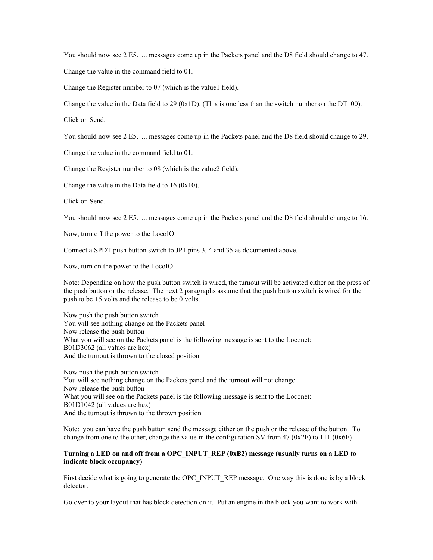You should now see 2 E5….. messages come up in the Packets panel and the D8 field should change to 47.

Change the value in the command field to 01.

Change the Register number to 07 (which is the value1 field).

Change the value in the Data field to 29 ( $0x1D$ ). (This is one less than the switch number on the DT100).

Click on Send.

You should now see 2 E5….. messages come up in the Packets panel and the D8 field should change to 29.

Change the value in the command field to 01.

Change the Register number to 08 (which is the value2 field).

Change the value in the Data field to  $16 (0x10)$ .

Click on Send.

You should now see 2 E5….. messages come up in the Packets panel and the D8 field should change to 16.

Now, turn off the power to the LocoIO.

Connect a SPDT push button switch to JP1 pins 3, 4 and 35 as documented above.

Now, turn on the power to the LocoIO.

Note: Depending on how the push button switch is wired, the turnout will be activated either on the press of the push button or the release. The next 2 paragraphs assume that the push button switch is wired for the push to be +5 volts and the release to be 0 volts.

Now push the push button switch You will see nothing change on the Packets panel Now release the push button What you will see on the Packets panel is the following message is sent to the Loconet: B01D3062 (all values are hex) And the turnout is thrown to the closed position

Now push the push button switch You will see nothing change on the Packets panel and the turnout will not change. Now release the push button What you will see on the Packets panel is the following message is sent to the Loconet: B01D1042 (all values are hex) And the turnout is thrown to the thrown position

Note: you can have the push button send the message either on the push or the release of the button. To change from one to the other, change the value in the configuration SV from 47 ( $0x2F$ ) to 111 ( $0x6F$ )

## **Turning a LED on and off from a OPC\_INPUT\_REP (0xB2) message (usually turns on a LED to indicate block occupancy)**

First decide what is going to generate the OPC\_INPUT\_REP message. One way this is done is by a block detector.

Go over to your layout that has block detection on it. Put an engine in the block you want to work with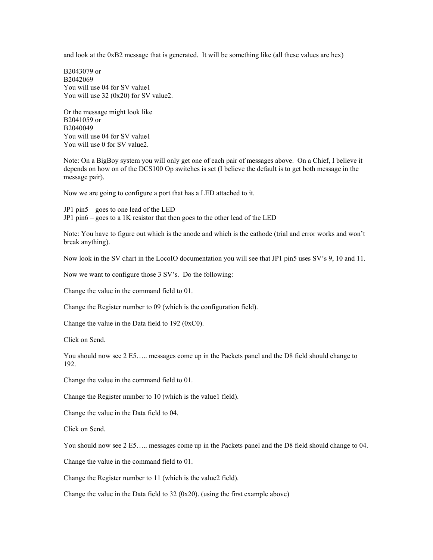and look at the 0xB2 message that is generated. It will be something like (all these values are hex)

B2043079 or B2042069 You will use 04 for SV value1 You will use 32 (0x20) for SV value2.

Or the message might look like B2041059 or B2040049 You will use 04 for SV value1 You will use 0 for SV value2.

Note: On a BigBoy system you will only get one of each pair of messages above. On a Chief, I believe it depends on how on of the DCS100 Op switches is set (I believe the default is to get both message in the message pair).

Now we are going to configure a port that has a LED attached to it.

JP1 pin5 – goes to one lead of the LED JP1 pin6 – goes to a 1K resistor that then goes to the other lead of the LED

Note: You have to figure out which is the anode and which is the cathode (trial and error works and won't break anything).

Now look in the SV chart in the LocoIO documentation you will see that JP1 pin5 uses SV's 9, 10 and 11.

Now we want to configure those 3 SV's. Do the following:

Change the value in the command field to 01.

Change the Register number to 09 (which is the configuration field).

Change the value in the Data field to 192 (0xC0).

Click on Send.

You should now see 2 E5….. messages come up in the Packets panel and the D8 field should change to 192.

Change the value in the command field to 01.

Change the Register number to 10 (which is the value1 field).

Change the value in the Data field to 04.

Click on Send.

You should now see 2 E5….. messages come up in the Packets panel and the D8 field should change to 04.

Change the value in the command field to 01.

Change the Register number to 11 (which is the value2 field).

Change the value in the Data field to 32 (0x20). (using the first example above)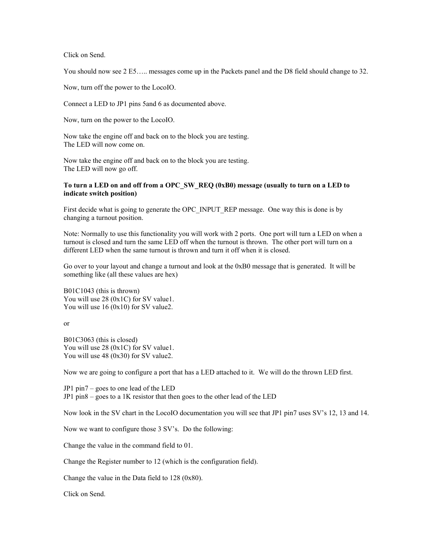Click on Send.

You should now see 2 E5….. messages come up in the Packets panel and the D8 field should change to 32.

Now, turn off the power to the LocoIO.

Connect a LED to JP1 pins 5and 6 as documented above.

Now, turn on the power to the LocoIO.

Now take the engine off and back on to the block you are testing. The LED will now come on.

Now take the engine off and back on to the block you are testing. The LED will now go off.

# **To turn a LED on and off from a OPC\_SW\_REQ (0xB0) message (usually to turn on a LED to indicate switch position)**

First decide what is going to generate the OPC\_INPUT\_REP message. One way this is done is by changing a turnout position.

Note: Normally to use this functionality you will work with 2 ports. One port will turn a LED on when a turnout is closed and turn the same LED off when the turnout is thrown. The other port will turn on a different LED when the same turnout is thrown and turn it off when it is closed.

Go over to your layout and change a turnout and look at the 0xB0 message that is generated. It will be something like (all these values are hex)

B01C1043 (this is thrown) You will use 28 (0x1C) for SV value1. You will use 16 (0x10) for SV value2.

or

B01C3063 (this is closed) You will use 28 (0x1C) for SV value1. You will use 48 (0x30) for SV value2.

Now we are going to configure a port that has a LED attached to it. We will do the thrown LED first.

JP1 pin7 – goes to one lead of the LED JP1 pin8 – goes to a 1K resistor that then goes to the other lead of the LED

Now look in the SV chart in the LocoIO documentation you will see that JP1 pin7 uses SV's 12, 13 and 14.

Now we want to configure those 3 SV's. Do the following:

Change the value in the command field to 01.

Change the Register number to 12 (which is the configuration field).

Change the value in the Data field to 128 (0x80).

Click on Send.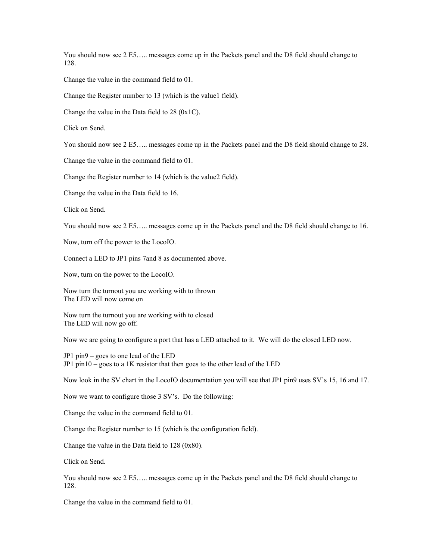You should now see 2 E5….. messages come up in the Packets panel and the D8 field should change to 128.

Change the value in the command field to 01.

Change the Register number to 13 (which is the value1 field).

Change the value in the Data field to 28 (0x1C).

Click on Send.

You should now see 2 E5..... messages come up in the Packets panel and the D8 field should change to 28.

Change the value in the command field to 01.

Change the Register number to 14 (which is the value2 field).

Change the value in the Data field to 16.

Click on Send.

You should now see 2 E5….. messages come up in the Packets panel and the D8 field should change to 16.

Now, turn off the power to the LocoIO.

Connect a LED to JP1 pins 7and 8 as documented above.

Now, turn on the power to the LocoIO.

Now turn the turnout you are working with to thrown The LED will now come on

Now turn the turnout you are working with to closed The LED will now go off.

Now we are going to configure a port that has a LED attached to it. We will do the closed LED now.

JP1 pin9 – goes to one lead of the LED JP1 pin10 – goes to a 1K resistor that then goes to the other lead of the LED

Now look in the SV chart in the LocoIO documentation you will see that JP1 pin9 uses SV's 15, 16 and 17.

Now we want to configure those 3 SV's. Do the following:

Change the value in the command field to 01.

Change the Register number to 15 (which is the configuration field).

Change the value in the Data field to 128 (0x80).

Click on Send.

You should now see 2 E5….. messages come up in the Packets panel and the D8 field should change to 128.

Change the value in the command field to 01.